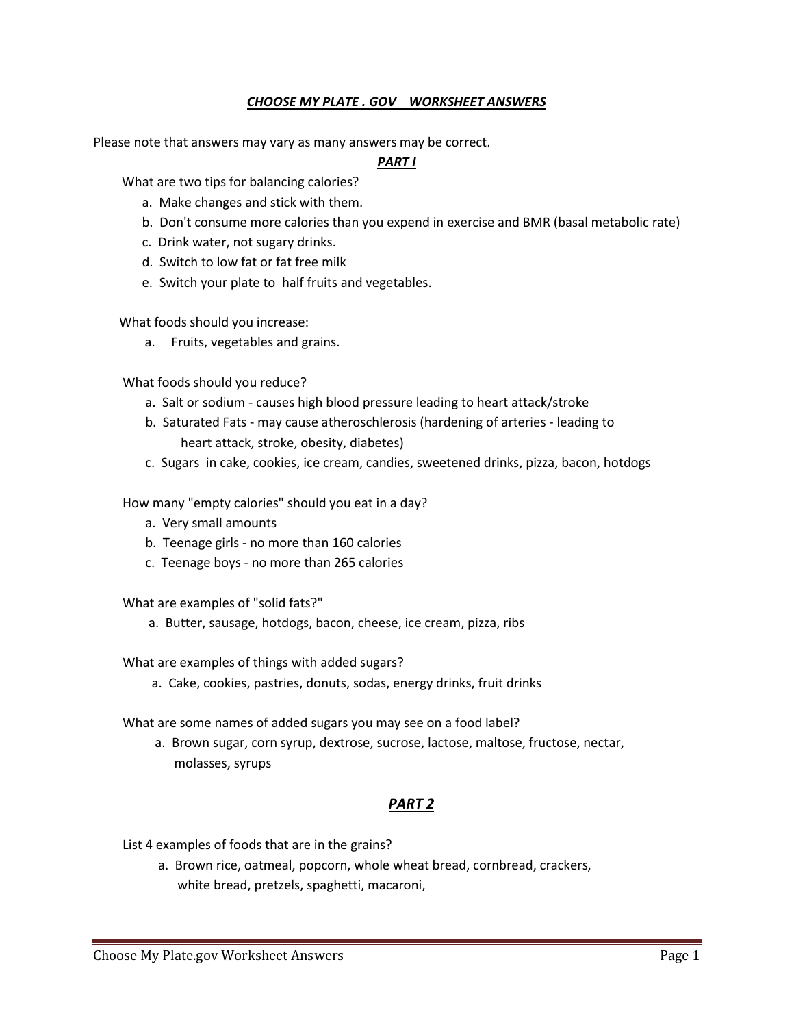# *CHOOSE MY PLATE . GOV WORKSHEET ANSWERS*

Please note that answers may vary as many answers may be correct.

### *PART I*

What are two tips for balancing calories?

- a. Make changes and stick with them.
- b. Don't consume more calories than you expend in exercise and BMR (basal metabolic rate)
- c. Drink water, not sugary drinks.
- d. Switch to low fat or fat free milk
- e. Switch your plate to half fruits and vegetables.

What foods should you increase:

a. Fruits, vegetables and grains.

What foods should you reduce?

- a. Salt or sodium causes high blood pressure leading to heart attack/stroke
- b. Saturated Fats may cause atheroschlerosis (hardening of arteries leading to heart attack, stroke, obesity, diabetes)
- c. Sugars in cake, cookies, ice cream, candies, sweetened drinks, pizza, bacon, hotdogs

How many "empty calories" should you eat in a day?

- a. Very small amounts
- b. Teenage girls no more than 160 calories
- c. Teenage boys no more than 265 calories

What are examples of "solid fats?"

a. Butter, sausage, hotdogs, bacon, cheese, ice cream, pizza, ribs

What are examples of things with added sugars?

a. Cake, cookies, pastries, donuts, sodas, energy drinks, fruit drinks

What are some names of added sugars you may see on a food label?

 a. Brown sugar, corn syrup, dextrose, sucrose, lactose, maltose, fructose, nectar, molasses, syrups

### *PART 2*

List 4 examples of foods that are in the grains?

 a. Brown rice, oatmeal, popcorn, whole wheat bread, cornbread, crackers, white bread, pretzels, spaghetti, macaroni,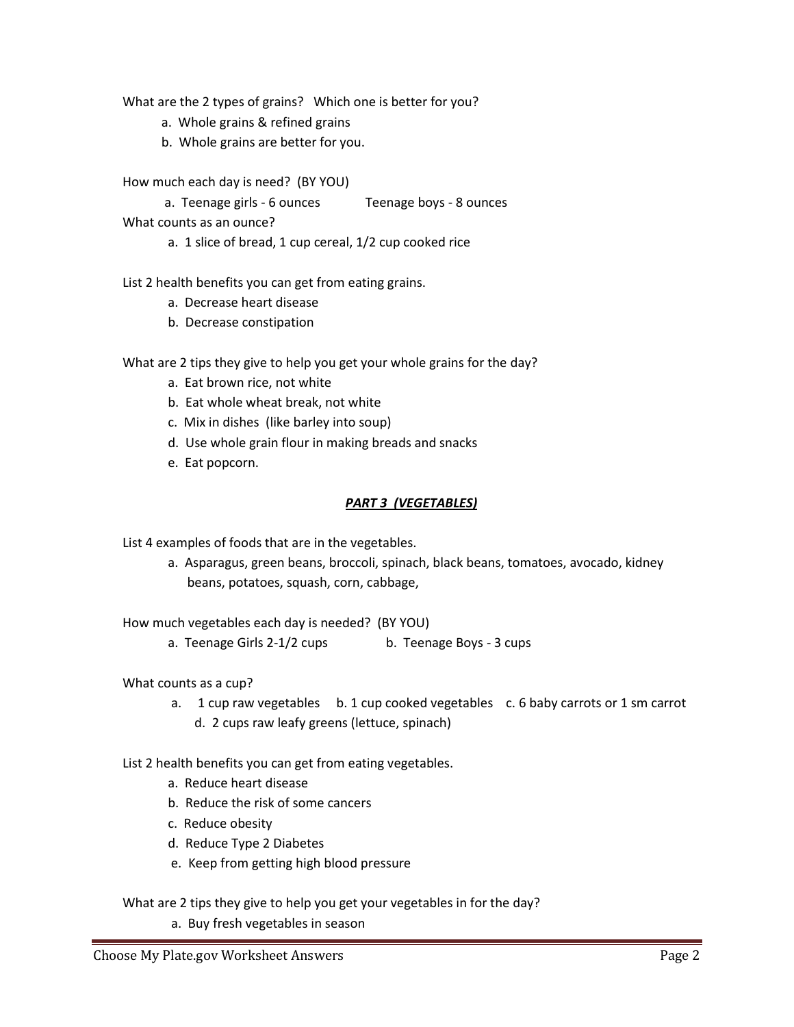What are the 2 types of grains? Which one is better for you?

- a. Whole grains & refined grains
- b. Whole grains are better for you.

How much each day is need? (BY YOU)

 a. Teenage girls - 6 ounces Teenage boys - 8 ounces What counts as an ounce?

a. 1 slice of bread, 1 cup cereal, 1/2 cup cooked rice

List 2 health benefits you can get from eating grains.

- a. Decrease heart disease
- b. Decrease constipation

What are 2 tips they give to help you get your whole grains for the day?

- a. Eat brown rice, not white
- b. Eat whole wheat break, not white
- c. Mix in dishes (like barley into soup)
- d. Use whole grain flour in making breads and snacks
- e. Eat popcorn.

## *PART 3 (VEGETABLES)*

List 4 examples of foods that are in the vegetables.

 a. Asparagus, green beans, broccoli, spinach, black beans, tomatoes, avocado, kidney beans, potatoes, squash, corn, cabbage,

How much vegetables each day is needed? (BY YOU)

a. Teenage Girls 2-1/2 cups b. Teenage Boys - 3 cups

## What counts as a cup?

- a. 1 cup raw vegetables b. 1 cup cooked vegetables c. 6 baby carrots or 1 sm carrot
	- d. 2 cups raw leafy greens (lettuce, spinach)

List 2 health benefits you can get from eating vegetables.

- a. Reduce heart disease
- b. Reduce the risk of some cancers
- c. Reduce obesity
- d. Reduce Type 2 Diabetes
- e. Keep from getting high blood pressure

What are 2 tips they give to help you get your vegetables in for the day?

a. Buy fresh vegetables in season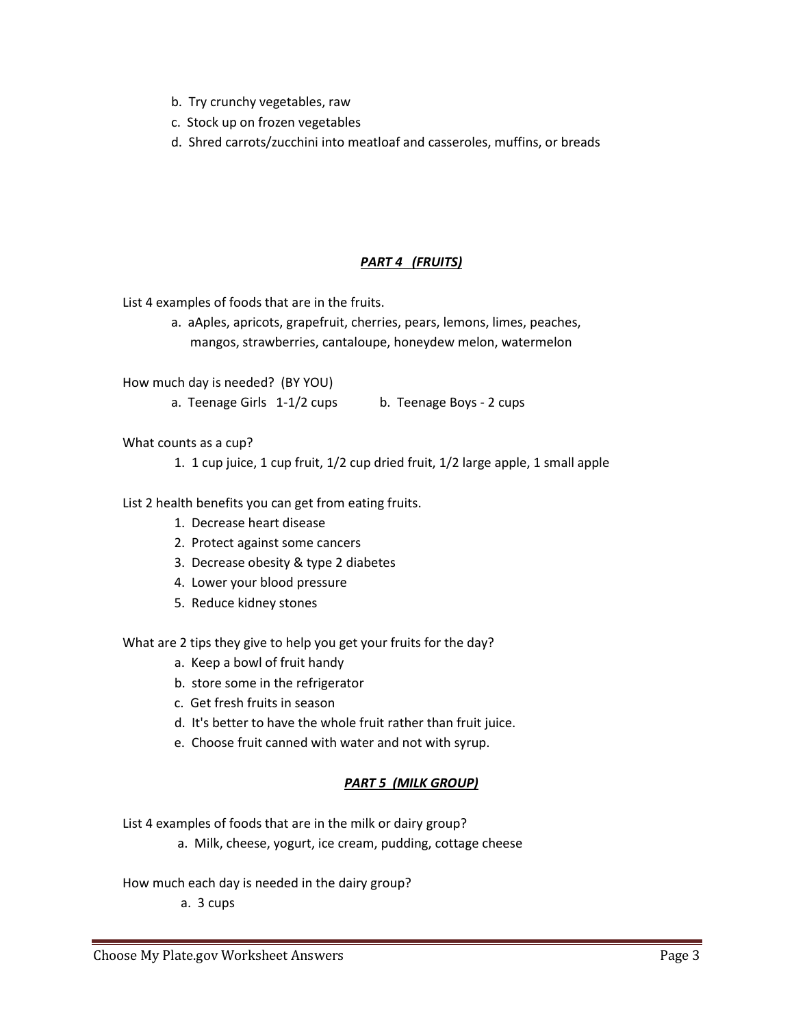- b. Try crunchy vegetables, raw
- c. Stock up on frozen vegetables
- d. Shred carrots/zucchini into meatloaf and casseroles, muffins, or breads

# *PART 4 (FRUITS)*

List 4 examples of foods that are in the fruits.

 a. aAples, apricots, grapefruit, cherries, pears, lemons, limes, peaches, mangos, strawberries, cantaloupe, honeydew melon, watermelon

How much day is needed? (BY YOU)

a. Teenage Girls 1-1/2 cups b. Teenage Boys - 2 cups

What counts as a cup?

1. 1 cup juice, 1 cup fruit, 1/2 cup dried fruit, 1/2 large apple, 1 small apple

List 2 health benefits you can get from eating fruits.

- 1. Decrease heart disease
- 2. Protect against some cancers
- 3. Decrease obesity & type 2 diabetes
- 4. Lower your blood pressure
- 5. Reduce kidney stones

What are 2 tips they give to help you get your fruits for the day?

- a. Keep a bowl of fruit handy
- b. store some in the refrigerator
- c. Get fresh fruits in season
- d. It's better to have the whole fruit rather than fruit juice.
- e. Choose fruit canned with water and not with syrup.

# *PART 5 (MILK GROUP)*

List 4 examples of foods that are in the milk or dairy group?

a. Milk, cheese, yogurt, ice cream, pudding, cottage cheese

How much each day is needed in the dairy group?

a. 3 cups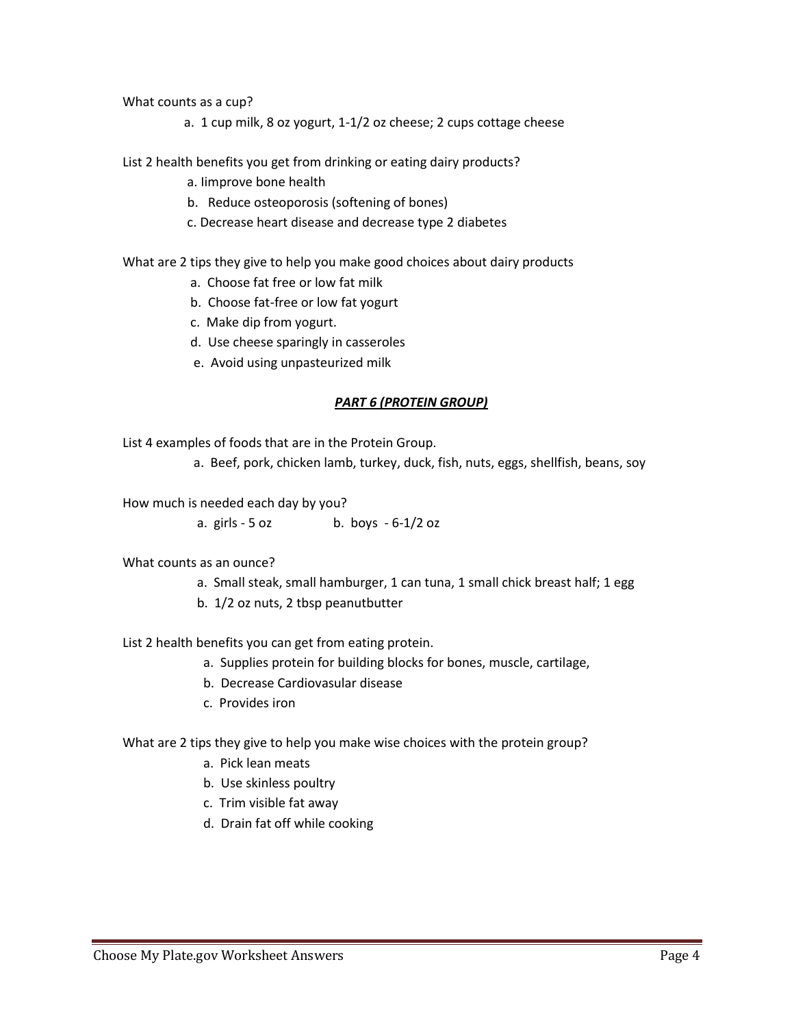What counts as a cup?

a. 1 cup milk, 8 oz yogurt, 1-1/2 oz cheese; 2 cups cottage cheese

List 2 health benefits you get from drinking or eating dairy products?

- a. Iimprove bone health
- b. Reduce osteoporosis (softening of bones)
- c. Decrease heart disease and decrease type 2 diabetes

What are 2 tips they give to help you make good choices about dairy products

- a. Choose fat free or low fat milk
- b. Choose fat-free or low fat yogurt
- c. Make dip from yogurt.
- d. Use cheese sparingly in casseroles
- e. Avoid using unpasteurized milk

#### *PART 6 (PROTEIN GROUP)*

List 4 examples of foods that are in the Protein Group.

a. Beef, pork, chicken lamb, turkey, duck, fish, nuts, eggs, shellfish, beans, soy

How much is needed each day by you?

a. girls  $-5 oz$  b. boys  $-6-1/2 oz$ 

- What counts as an ounce?
	- a. Small steak, small hamburger, 1 can tuna, 1 small chick breast half; 1 egg
	- b. 1/2 oz nuts, 2 tbsp peanutbutter

List 2 health benefits you can get from eating protein.

- a. Supplies protein for building blocks for bones, muscle, cartilage,
- b. Decrease Cardiovasular disease
- c. Provides iron

What are 2 tips they give to help you make wise choices with the protein group?

- a. Pick lean meats
- b. Use skinless poultry
- c. Trim visible fat away
- d. Drain fat off while cooking